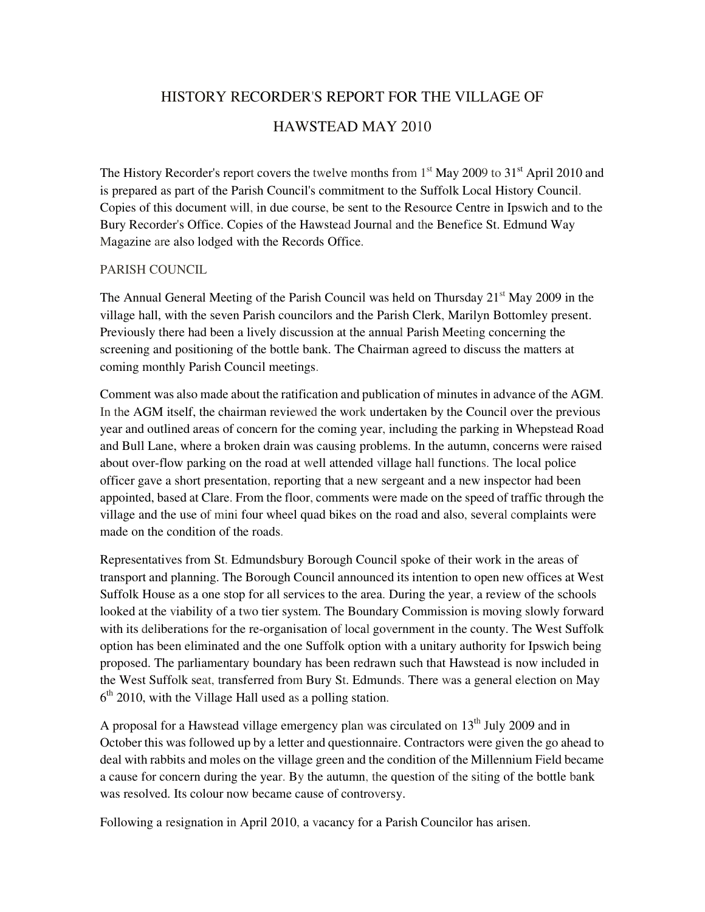# HISTORY RECORDER'S REPORT FOR THE VILLAGE OF HAWSTEAD MAY 2010

The History Recorder's report covers the twelve months from  $1<sup>st</sup>$  May 2009 to 31<sup>st</sup> April 2010 and is prepared as part of the Parish Council's commitment to the Suffolk Local History Council. Copies of this document will, in due course, be sent to the Resource Centre in Ipswich and to the Bury Recorder's Office. Copies of the Hawstead Journal and the Benefice St. Edmund Way Magazine are also lodged with the Records Office.

#### PARISH COUNCIL

The Annual General Meeting of the Parish Council was held on Thursday  $21<sup>st</sup>$  May 2009 in the village hall, with the seven Parish councilors and the Parish Clerk, Marilyn Bottomley present. Previously there had been a lively discussion at the annual Parish Meeting concerning the screening and positioning of the bottle bank. The Chairman agreed to discuss the matters at coming monthly Parish Council meetings.

Comment was also made about the ratification and publication of minutes in advance of the AGM. In the AGM itself, the chairman reviewed the work undertaken by the Council over the previous year and outlined areas of concern for the coming year, including the parking in Whepstead Road and Bull Lane, where a broken drain was causing problems. In the autumn, concerns were raised about over-flow parking on the road at well attended village hall functions. The local police officer gave a short presentation, reporting that a new sergeant and a new inspector had been appointed, based at Clare. From the floor, comments were made on the speed of traffic through the village and the use of mini four wheel quad bikes on the road and also, several complaints were made on the condition of the roads.

Representatives from St. Edmundsbury Borough Council spoke of their work in the areas of transport and planning. The Borough Council announced its intention to open new offices at West Suffolk House as a one stop for all services to the area. During the year, a review of the schools looked at the viability of a two tier system. The Boundary Commission is moving slowly forward with its deliberations for the re-organisation of local government in the county. The West Suffolk option has been eliminated and the one Suffolk option with a unitary authority for Ipswich being proposed. The parliamentary boundary has been redrawn such that Hawstead is now included in the West Suffolk seat, transferred from Bury St. Edmunds. There was a general election on May 6<sup>th</sup> 2010, with the Village Hall used as a polling station.

A proposal for a Hawstead village emergency plan was circulated on  $13<sup>th</sup>$  July 2009 and in October this was followed up by a letter and questionnaire. Contractors were given the go ahead to deal with rabbits and moles on the village green and the condition of the Millennium Field became a cause for concern during the year. By the autumn, the question of the siting of the bottle bank was resolved. Its colour now became cause of controversy.

Following a resignation in April 2010, a vacancy for a Parish Councilor has arisen.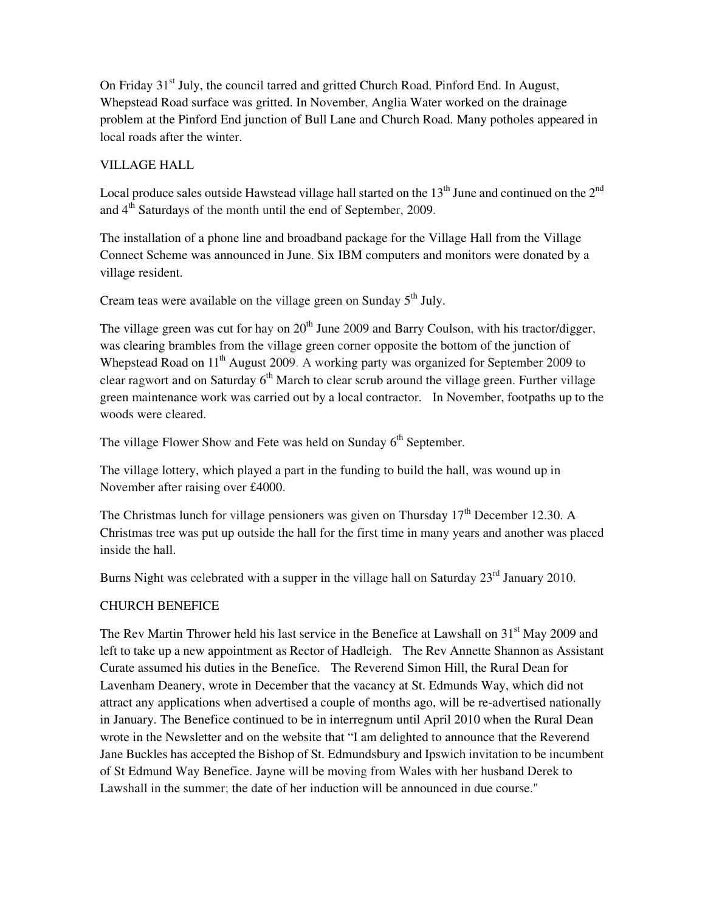On Friday 31<sup>st</sup> July, the council tarred and gritted Church Road, Pinford End. In August, Whepstead Road surface was gritted. In November, Anglia Water worked on the drainage problem at the Pinford End junction of Bull Lane and Church Road. Many potholes appeared in local roads after the winter.

### VILLAGE HALL

Local produce sales outside Hawstead village hall started on the  $13^{\text{th}}$  June and continued on the  $2^{\text{nd}}$ and 4th Saturdays of the month until the end of September, 2009.

The installation of a phone line and broadband package for the Village Hall from the Village Connect Scheme was announced in June. Six IBM computers and monitors were donated by a village resident.

Cream teas were available on the village green on Sunday  $5<sup>th</sup>$  July.

The village green was cut for hay on  $20^{th}$  June 2009 and Barry Coulson, with his tractor/digger, was clearing brambles from the village green corner opposite the bottom of the junction of Whepstead Road on 11<sup>th</sup> August 2009. A working party was organized for September 2009 to clear ragwort and on Saturday 6<sup>th</sup> March to clear scrub around the village green. Further village green maintenance work was carried out by a local contractor. In November, footpaths up to the woods were cleared.

The village Flower Show and Fete was held on Sunday  $6<sup>th</sup>$  September.

The village lottery, which played a part in the funding to build the hall, was wound up in November after raising over £4000.

The Christmas lunch for village pensioners was given on Thursday  $17<sup>th</sup>$  December 12.30. A Christmas tree was put up outside the hall for the first time in many years and another was placed inside the hall.

Burns Night was celebrated with a supper in the village hall on Saturday 23<sup>rd</sup> January 2010.

## CHURCH BENEFICE

The Rev Martin Thrower held his last service in the Benefice at Lawshall on 31<sup>st</sup> May 2009 and left to take up a new appointment as Rector of Hadleigh. The Rev Annette Shannon as Assistant Curate assumed his duties in the Benefice. The Reverend Simon Hill, the Rural Dean for Lavenham Deanery, wrote in December that the vacancy at St. Edmunds Way, which did not attract any applications when advertised a couple of months ago, will be re-advertised nationally in January. The Benefice continued to be in interregnum until April 2010 when the Rural Dean wrote in the Newsletter and on the website that "I am delighted to announce that the Reverend Jane Buckles has accepted the Bishop of St. Edmundsbury and Ipswich invitation to be incumbent of St Edmund Way Benefice. Jayne will be moving from Wales with her husband Derek to Lawshall in the summer; the date of her induction will be announced in due course."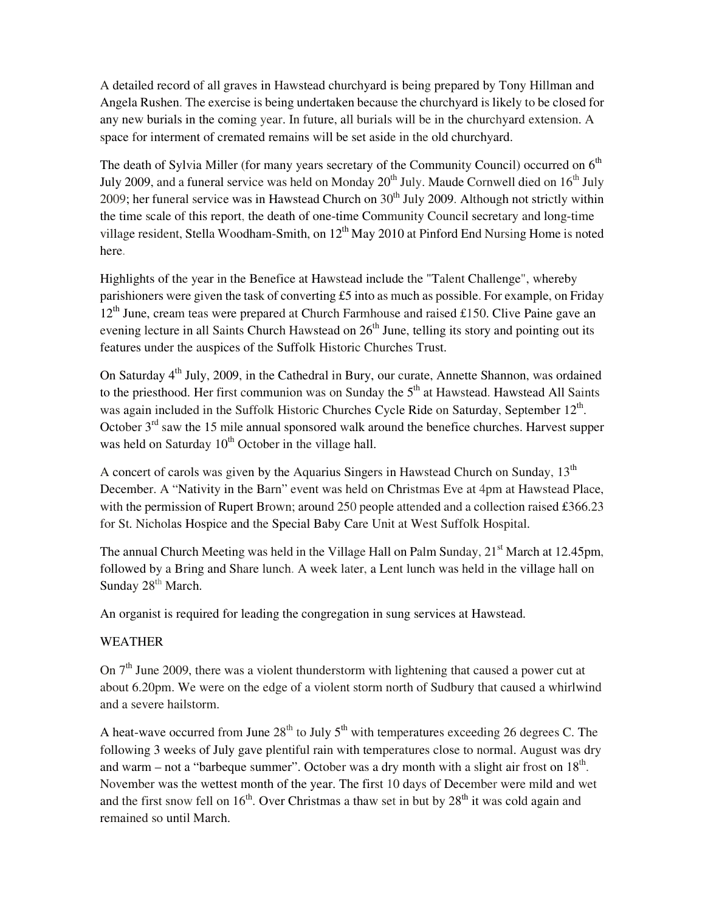A detailed record of all graves in Hawstead churchyard is being prepared by Tony Hillman and Angela Rushen. The exercise is being undertaken because the churchyard is likely to be closed for any new burials in the coming year. In future, all burials will be in the churchyard extension. A space for interment of cremated remains will be set aside in the old churchyard.

The death of Sylvia Miller (for many years secretary of the Community Council) occurred on  $6<sup>th</sup>$ July 2009, and a funeral service was held on Monday  $20^{th}$  July. Maude Cornwell died on  $16^{th}$  July 2009; her funeral service was in Hawstead Church on  $30<sup>th</sup>$  July 2009. Although not strictly within the time scale of this report, the death of one-time Community Council secretary and long-time village resident, Stella Woodham-Smith, on  $12<sup>th</sup>$  May 2010 at Pinford End Nursing Home is noted here.

Highlights of the year in the Benefice at Hawstead include the "Talent Challenge", whereby parishioners were given the task of converting £5 into as much as possible. For example, on Friday  $12<sup>th</sup>$  June, cream teas were prepared at Church Farmhouse and raised £150. Clive Paine gave an evening lecture in all Saints Church Hawstead on  $26<sup>th</sup>$  June, telling its story and pointing out its features under the auspices of the Suffolk Historic Churches Trust.

On Saturday 4<sup>th</sup> July, 2009, in the Cathedral in Bury, our curate, Annette Shannon, was ordained to the priesthood. Her first communion was on Sunday the  $5<sup>th</sup>$  at Hawstead. Hawstead All Saints was again included in the Suffolk Historic Churches Cycle Ride on Saturday, September 12<sup>th</sup>. October  $3<sup>rd</sup>$  saw the 15 mile annual sponsored walk around the benefice churches. Harvest supper was held on Saturday 10<sup>th</sup> October in the village hall.

A concert of carols was given by the Aquarius Singers in Hawstead Church on Sunday,  $13<sup>th</sup>$ December. A "Nativity in the Barn" event was held on Christmas Eve at 4pm at Hawstead Place, with the permission of Rupert Brown; around 250 people attended and a collection raised £366.23 for St. Nicholas Hospice and the Special Baby Care Unit at West Suffolk Hospital.

The annual Church Meeting was held in the Village Hall on Palm Sunday, 21<sup>st</sup> March at 12.45pm, followed by a Bring and Share lunch. A week later, a Lent lunch was held in the village hall on Sunday 28<sup>th</sup> March.

An organist is required for leading the congregation in sung services at Hawstead.

#### WEATHER

On  $7<sup>th</sup>$  June 2009, there was a violent thunderstorm with lightening that caused a power cut at about 6.20pm. We were on the edge of a violent storm north of Sudbury that caused a whirlwind and a severe hailstorm.

A heat-wave occurred from June  $28<sup>th</sup>$  to July  $5<sup>th</sup>$  with temperatures exceeding 26 degrees C. The following 3 weeks of July gave plentiful rain with temperatures close to normal. August was dry and warm – not a "barbeque summer". October was a dry month with a slight air frost on  $18<sup>th</sup>$ . November was the wettest month of the year. The first 10 days of December were mild and wet and the first snow fell on  $16<sup>th</sup>$ . Over Christmas a thaw set in but by  $28<sup>th</sup>$  it was cold again and remained so until March.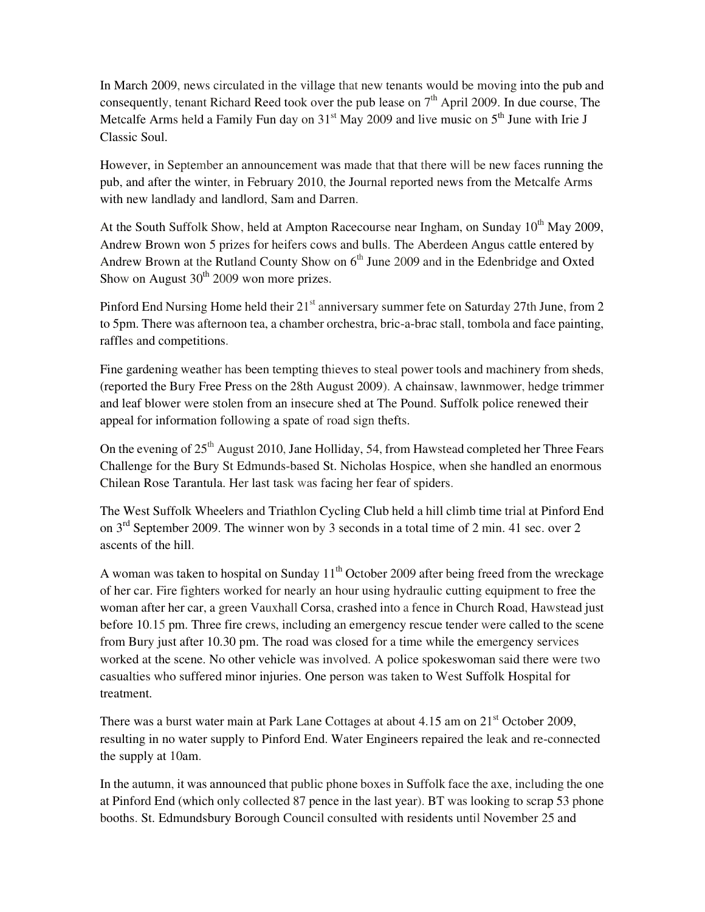In March 2009, news circulated in the village that new tenants would be moving into the pub and consequently, tenant Richard Reed took over the pub lease on  $7<sup>th</sup>$  April 2009. In due course, The Metcalfe Arms held a Family Fun day on  $31<sup>st</sup>$  May 2009 and live music on  $5<sup>th</sup>$  June with Irie J Classic Soul.

However, in September an announcement was made that that there will be new faces running the pub, and after the winter, in February 2010, the Journal reported news from the Metcalfe Arms with new landlady and landlord, Sam and Darren.

At the South Suffolk Show, held at Ampton Racecourse near Ingham, on Sunday  $10^{th}$  May 2009, Andrew Brown won 5 prizes for heifers cows and bulls. The Aberdeen Angus cattle entered by Andrew Brown at the Rutland County Show on  $6<sup>th</sup>$  June 2009 and in the Edenbridge and Oxted Show on August  $30<sup>th</sup>$  2009 won more prizes.

Pinford End Nursing Home held their 21<sup>st</sup> anniversary summer fete on Saturday 27th June, from 2 to 5pm. There was afternoon tea, a chamber orchestra, bric-a-brac stall, tombola and face painting, raffles and competitions.

Fine gardening weather has been tempting thieves to steal power tools and machinery from sheds, (reported the Bury Free Press on the 28th August 2009). A chainsaw, lawnmower, hedge trimmer and leaf blower were stolen from an insecure shed at The Pound. Suffolk police renewed their appeal for information following a spate of road sign thefts.

On the evening of  $25<sup>th</sup>$  August 2010, Jane Holliday, 54, from Hawstead completed her Three Fears Challenge for the Bury St Edmunds-based St. Nicholas Hospice, when she handled an enormous Chilean Rose Tarantula. Her last task was facing her fear of spiders.

The West Suffolk Wheelers and Triathlon Cycling Club held a hill climb time trial at Pinford End on 3rd September 2009. The winner won by 3 seconds in a total time of 2 min. 41 sec. over 2 ascents of the hill.

A woman was taken to hospital on Sunday  $11<sup>th</sup>$  October 2009 after being freed from the wreckage of her car. Fire fighters worked for nearly an hour using hydraulic cutting equipment to free the woman after her car, a green Vauxhall Corsa, crashed into a fence in Church Road, Hawstead just before 10.15 pm. Three fire crews, including an emergency rescue tender were called to the scene from Bury just after 10.30 pm. The road was closed for a time while the emergency services worked at the scene. No other vehicle was involved. A police spokeswoman said there were two casualties who suffered minor injuries. One person was taken to West Suffolk Hospital for treatment.

There was a burst water main at Park Lane Cottages at about 4.15 am on 21<sup>st</sup> October 2009, resulting in no water supply to Pinford End. Water Engineers repaired the leak and re-connected the supply at 10am.

In the autumn, it was announced that public phone boxes in Suffolk face the axe, including the one at Pinford End (which only collected 87 pence in the last year). BT was looking to scrap 53 phone booths. St. Edmundsbury Borough Council consulted with residents until November 25 and